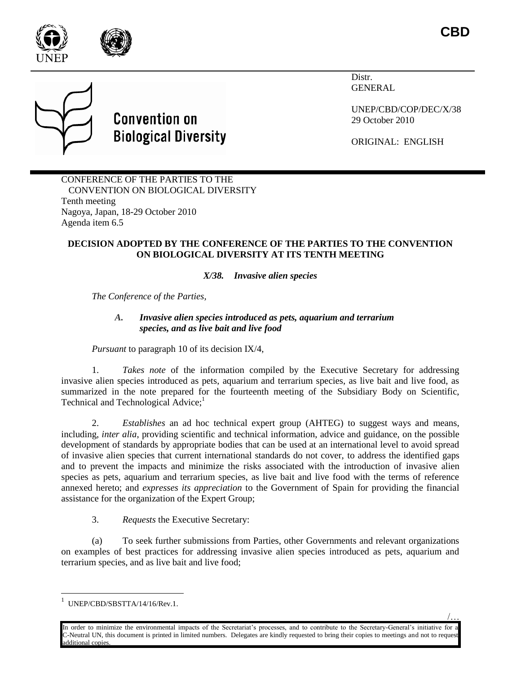

/…

Distr. GENERAL

UNEP/CBD/COP/DEC/X/38 29 October 2010

ORIGINAL: ENGLISH

CONFERENCE OF THE PARTIES TO THE CONVENTION ON BIOLOGICAL DIVERSITY Tenth meeting Nagoya, Japan, 18-29 October 2010 Agenda item 6.5

**Convention on** 

**Biological Diversity** 

## **DECISION ADOPTED BY THE CONFERENCE OF THE PARTIES TO THE CONVENTION ON BIOLOGICAL DIVERSITY AT ITS TENTH MEETING**

# *X/38. Invasive alien species*

*The Conference of the Parties,*

### *A. Invasive alien species introduced as pets, aquarium and terrarium species, and as live bait and live food*

*Pursuant* to paragraph 10 of its decision IX/4,

1. *Takes note* of the information compiled by the Executive Secretary for addressing invasive alien species introduced as pets, aquarium and terrarium species, as live bait and live food, as summarized in the note prepared for the fourteenth meeting of the Subsidiary Body on Scientific, Technical and Technological Advice;<sup>1</sup>

2. *Establishes* an ad hoc technical expert group (AHTEG) to suggest ways and means, including, *inter alia*, providing scientific and technical information, advice and guidance, on the possible development of standards by appropriate bodies that can be used at an international level to avoid spread of invasive alien species that current international standards do not cover, to address the identified gaps and to prevent the impacts and minimize the risks associated with the introduction of invasive alien species as pets, aquarium and terrarium species, as live bait and live food with the terms of reference annexed hereto; and *expresses its appreciation* to the Government of Spain for providing the financial assistance for the organization of the Expert Group;

3. *Requests* the Executive Secretary:

(a) To seek further submissions from Parties, other Governments and relevant organizations on examples of best practices for addressing invasive alien species introduced as pets, aquarium and terrarium species, and as live bait and live food;

l

In order to minimize the environmental impacts of the Secretariat's processes, and to contribute to the Secretary-General's initiative for C-Neutral UN, this document is printed in limited numbers. Delegates are kindly requested to bring their copies to meetings and not to request dditional copies.

<sup>1</sup> UNEP/CBD/SBSTTA/14/16/Rev.1.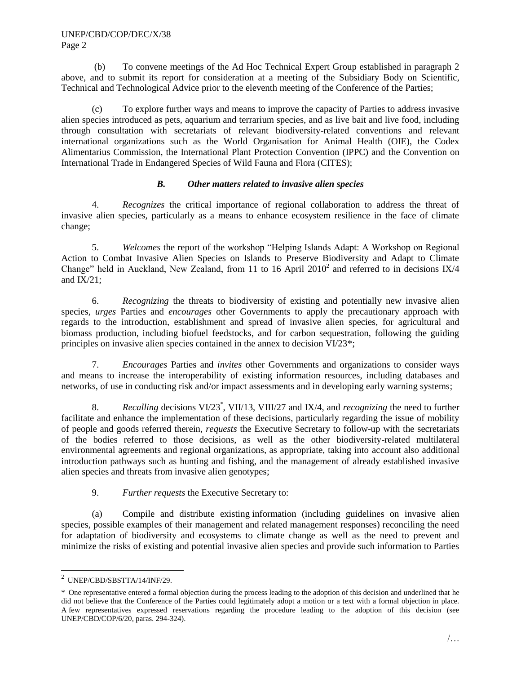(b) To convene meetings of the Ad Hoc Technical Expert Group established in paragraph 2 above, and to submit its report for consideration at a meeting of the Subsidiary Body on Scientific, Technical and Technological Advice prior to the eleventh meeting of the Conference of the Parties;

(c) To explore further ways and means to improve the capacity of Parties to address invasive alien species introduced as pets, aquarium and terrarium species, and as live bait and live food, including through consultation with secretariats of relevant biodiversity-related conventions and relevant international organizations such as the World Organisation for Animal Health (OIE), the Codex Alimentarius Commission, the International Plant Protection Convention (IPPC) and the Convention on International Trade in Endangered Species of Wild Fauna and Flora (CITES);

### *B. Other matters related to invasive alien species*

4. *Recognizes* the critical importance of regional collaboration to address the threat of invasive alien species, particularly as a means to enhance ecosystem resilience in the face of climate change;

5. *Welcomes* the report of the workshop "Helping Islands Adapt: A Workshop on Regional Action to Combat Invasive Alien Species on Islands to Preserve Biodiversity and Adapt to Climate Change" held in Auckland, New Zealand, from 11 to 16 April  $2010<sup>2</sup>$  and referred to in decisions IX/4 and  $IX/21$ ;

6. *Recognizing* the threats to biodiversity of existing and potentially new invasive alien species, *urges* Parties and *encourages* other Governments to apply the precautionary approach with regards to the introduction, establishment and spread of invasive alien species, for agricultural and biomass production, including biofuel feedstocks, and for carbon sequestration, following the guiding principles on invasive alien species contained in the annex to decision VI/23\*;

7. *Encourages* Parties and *invites* other Governments and organizations to consider ways and means to increase the interoperability of existing information resources, including databases and networks, of use in conducting risk and/or impact assessments and in developing early warning systems;

8. *Recalling* decisions VI/23\* , VII/13, VIII/27 and IX/4, and *recognizing* the need to further facilitate and enhance the implementation of these decisions, particularly regarding the issue of mobility of people and goods referred therein, *requests* the Executive Secretary to follow-up with the secretariats of the bodies referred to those decisions, as well as the other biodiversity-related multilateral environmental agreements and regional organizations, as appropriate, taking into account also additional introduction pathways such as hunting and fishing, and the management of already established invasive alien species and threats from invasive alien genotypes;

9. *Further requests* the Executive Secretary to:

(a) Compile and distribute existing information (including guidelines on invasive alien species, possible examples of their management and related management responses) reconciling the need for adaptation of biodiversity and ecosystems to climate change as well as the need to prevent and minimize the risks of existing and potential invasive alien species and provide such information to Parties

l

<sup>2</sup> UNEP/CBD/SBSTTA/14/INF/29.

<sup>\*</sup> One representative entered a formal objection during the process leading to the adoption of this decision and underlined that he did not believe that the Conference of the Parties could legitimately adopt a motion or a text with a formal objection in place. A few representatives expressed reservations regarding the procedure leading to the adoption of this decision (see UNEP/CBD/COP/6/20, paras. 294-324).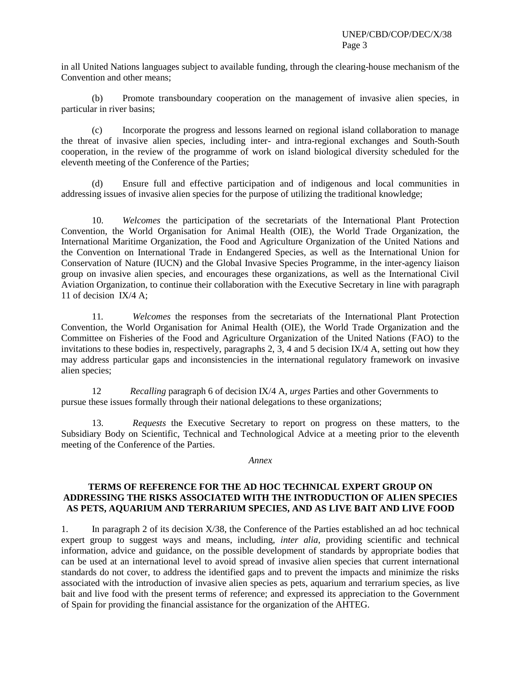in all United Nations languages subject to available funding, through the clearing-house mechanism of the Convention and other means;

(b) Promote transboundary cooperation on the management of invasive alien species, in particular in river basins;

(c) Incorporate the progress and lessons learned on regional island collaboration to manage the threat of invasive alien species, including inter- and intra-regional exchanges and South-South cooperation, in the review of the programme of work on island biological diversity scheduled for the eleventh meeting of the Conference of the Parties;

(d) Ensure full and effective participation and of indigenous and local communities in addressing issues of invasive alien species for the purpose of utilizing the traditional knowledge;

10. *Welcomes* the participation of the secretariats of the International Plant Protection Convention, the World Organisation for Animal Health (OIE), the World Trade Organization, the International Maritime Organization, the Food and Agriculture Organization of the United Nations and the Convention on International Trade in Endangered Species, as well as the International Union for Conservation of Nature (IUCN) and the Global Invasive Species Programme, in the inter-agency liaison group on invasive alien species, and encourages these organizations, as well as the International Civil Aviation Organization, to continue their collaboration with the Executive Secretary in line with paragraph 11 of decision IX/4 A;

11*. Welcomes* the responses from the secretariats of the International Plant Protection Convention, the World Organisation for Animal Health (OIE), the World Trade Organization and the Committee on Fisheries of the Food and Agriculture Organization of the United Nations (FAO) to the invitations to these bodies in, respectively, paragraphs 2, 3, 4 and 5 decision IX/4 A, setting out how they may address particular gaps and inconsistencies in the international regulatory framework on invasive alien species;

12 *Recalling* paragraph 6 of decision IX/4 A, *urges* Parties and other Governments to pursue these issues formally through their national delegations to these organizations;

13. *Requests* the Executive Secretary to report on progress on these matters, to the Subsidiary Body on Scientific, Technical and Technological Advice at a meeting prior to the eleventh meeting of the Conference of the Parties.

#### *Annex*

### **TERMS OF REFERENCE FOR THE AD HOC TECHNICAL EXPERT GROUP ON ADDRESSING THE RISKS ASSOCIATED WITH THE INTRODUCTION OF ALIEN SPECIES AS PETS, AQUARIUM AND TERRARIUM SPECIES, AND AS LIVE BAIT AND LIVE FOOD**

1. In paragraph 2 of its decision X/38, the Conference of the Parties established an ad hoc technical expert group to suggest ways and means, including, *inter alia*, providing scientific and technical information, advice and guidance, on the possible development of standards by appropriate bodies that can be used at an international level to avoid spread of invasive alien species that current international standards do not cover, to address the identified gaps and to prevent the impacts and minimize the risks associated with the introduction of invasive alien species as pets, aquarium and terrarium species, as live bait and live food with the present terms of reference; and expressed its appreciation to the Government of Spain for providing the financial assistance for the organization of the AHTEG.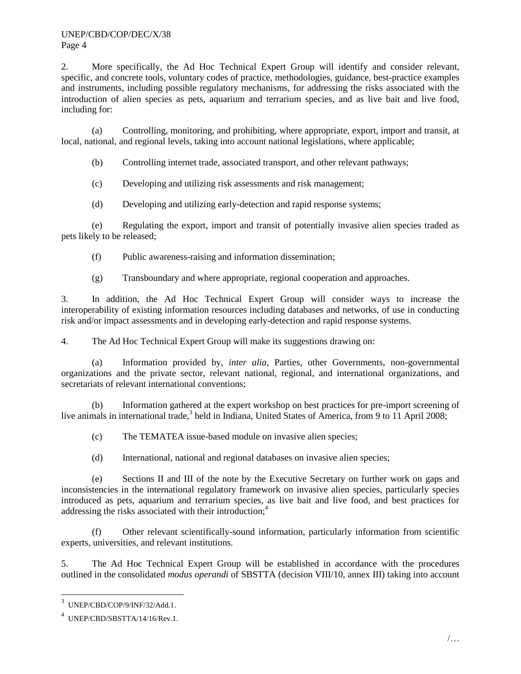2. More specifically, the Ad Hoc Technical Expert Group will identify and consider relevant, specific, and concrete tools, voluntary codes of practice, methodologies, guidance, best-practice examples and instruments, including possible regulatory mechanisms, for addressing the risks associated with the introduction of alien species as pets, aquarium and terrarium species, and as live bait and live food, including for:

(a) Controlling, monitoring, and prohibiting, where appropriate, export, import and transit, at local, national, and regional levels, taking into account national legislations, where applicable;

(b) Controlling internet trade, associated transport, and other relevant pathways;

(c) Developing and utilizing risk assessments and risk management;

(d) Developing and utilizing early-detection and rapid response systems;

(e) Regulating the export, import and transit of potentially invasive alien species traded as pets likely to be released;

(f) Public awareness-raising and information dissemination;

(g) Transboundary and where appropriate, regional cooperation and approaches.

3. In addition, the Ad Hoc Technical Expert Group will consider ways to increase the interoperability of existing information resources including databases and networks, of use in conducting risk and/or impact assessments and in developing early-detection and rapid response systems.

4. The Ad Hoc Technical Expert Group will make its suggestions drawing on:

(a) Information provided by, *inter alia*, Parties, other Governments, non-governmental organizations and the private sector, relevant national, regional, and international organizations, and secretariats of relevant international conventions;

(b) Information gathered at the expert workshop on best practices for pre-import screening of live animals in international trade,<sup>3</sup> held in Indiana, United States of America, from 9 to 11 April 2008;

(c) The TEMATEA issue-based module on invasive alien species;

(d) International, national and regional databases on invasive alien species;

(e) Sections II and III of the note by the Executive Secretary on further work on gaps and inconsistencies in the international regulatory framework on invasive alien species, particularly species introduced as pets, aquarium and terrarium species, as live bait and live food, and best practices for addressing the risks associated with their introduction;<sup>4</sup>

(f) Other relevant scientifically-sound information, particularly information from scientific experts, universities, and relevant institutions.

5. The Ad Hoc Technical Expert Group will be established in accordance with the procedures outlined in the consolidated *modus operandi* of SBSTTA (decision VIII/10, annex III) taking into account

 $\overline{a}$ 

<sup>3</sup> [UNEP/CBD/COP/9/INF/32/Add.1.](http://www.cbd.int/doc/meetings/cop/cop-09/information/cop-09-inf-32-add1-en.pdf)

<sup>4</sup> UNEP/CBD/SBSTTA/14/16/Rev.1.